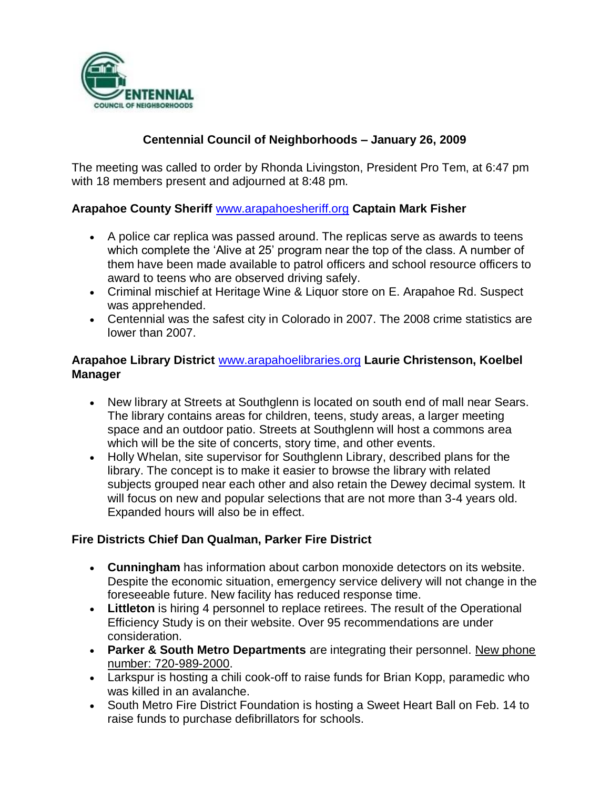

## **Centennial Council of Neighborhoods – January 26, 2009**

The meeting was called to order by Rhonda Livingston, President Pro Tem, at 6:47 pm with 18 members present and adjourned at 8:48 pm.

## **Arapahoe County Sheriff** [www.arapahoesheriff.org](http://www.arapahoesheriff.org/) **Captain Mark Fisher**

- A police car replica was passed around. The replicas serve as awards to teens which complete the 'Alive at 25' program near the top of the class. A number of them have been made available to patrol officers and school resource officers to award to teens who are observed driving safely.
- Criminal mischief at Heritage Wine & Liquor store on E. Arapahoe Rd. Suspect was apprehended.
- Centennial was the safest city in Colorado in 2007. The 2008 crime statistics are lower than 2007.

#### **Arapahoe Library District** [www.arapahoelibraries.org](http://www.arapahoelibraries.org/) **Laurie Christenson, Koelbel Manager**

- New library at Streets at Southglenn is located on south end of mall near Sears. The library contains areas for children, teens, study areas, a larger meeting space and an outdoor patio. Streets at Southglenn will host a commons area which will be the site of concerts, story time, and other events.
- Holly Whelan, site supervisor for Southglenn Library, described plans for the library. The concept is to make it easier to browse the library with related subjects grouped near each other and also retain the Dewey decimal system. It will focus on new and popular selections that are not more than 3-4 years old. Expanded hours will also be in effect.

#### **Fire Districts Chief Dan Qualman, Parker Fire District**

- **Cunningham** has information about carbon monoxide detectors on its website. Despite the economic situation, emergency service delivery will not change in the foreseeable future. New facility has reduced response time.
- **Littleton** is hiring 4 personnel to replace retirees. The result of the Operational Efficiency Study is on their website. Over 95 recommendations are under consideration.
- **Parker & South Metro Departments** are integrating their personnel. New phone number: 720-989-2000.
- Larkspur is hosting a chili cook-off to raise funds for Brian Kopp, paramedic who was killed in an avalanche.
- South Metro Fire District Foundation is hosting a Sweet Heart Ball on Feb. 14 to raise funds to purchase defibrillators for schools.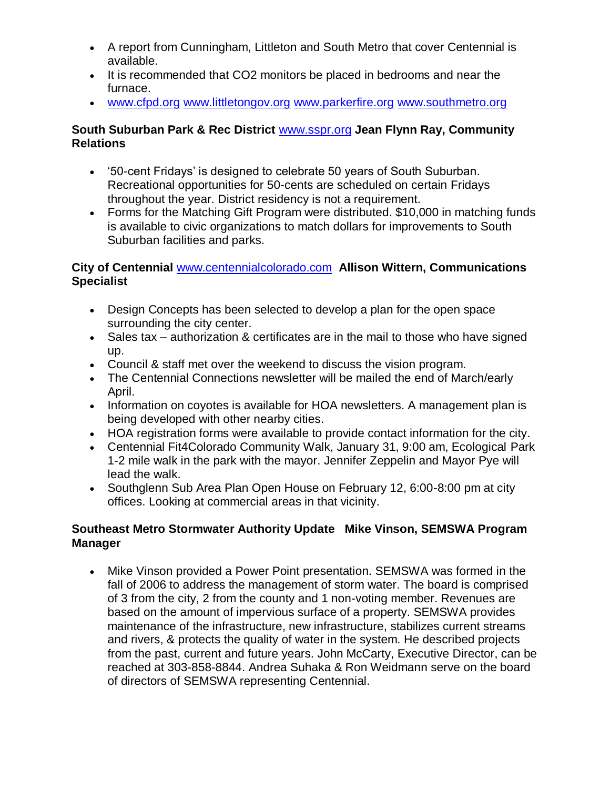- A report from Cunningham, Littleton and South Metro that cover Centennial is available.
- It is recommended that CO2 monitors be placed in bedrooms and near the furnace.
- [www.cfpd.org](http://www.cfpd.org/) [www.littletongov.org](http://www.littletongov.org/) [www.parkerfire.org](http://www.parkerfire.org/) [www.southmetro.org](http://www.southmetro.org/)

## **South Suburban Park & Rec District** [www.sspr.org](http://www.sspr.org/) **Jean Flynn Ray, Community Relations**

- '50-cent Fridays' is designed to celebrate 50 years of South Suburban. Recreational opportunities for 50-cents are scheduled on certain Fridays throughout the year. District residency is not a requirement.
- Forms for the Matching Gift Program were distributed. \$10,000 in matching funds is available to civic organizations to match dollars for improvements to South Suburban facilities and parks.

## **City of Centennial** [www.centennialcolorado.com](http://www.centennialcolorado.com/) **Allison Wittern, Communications Specialist**

- Design Concepts has been selected to develop a plan for the open space surrounding the city center.
- Sales tax authorization & certificates are in the mail to those who have signed up.
- Council & staff met over the weekend to discuss the vision program.
- The Centennial Connections newsletter will be mailed the end of March/early April.
- Information on coyotes is available for HOA newsletters. A management plan is being developed with other nearby cities.
- HOA registration forms were available to provide contact information for the city.
- Centennial Fit4Colorado Community Walk, January 31, 9:00 am, Ecological Park 1-2 mile walk in the park with the mayor. Jennifer Zeppelin and Mayor Pye will lead the walk.
- Southglenn Sub Area Plan Open House on February 12, 6:00-8:00 pm at city offices. Looking at commercial areas in that vicinity.

## **Southeast Metro Stormwater Authority Update Mike Vinson, SEMSWA Program Manager**

 Mike Vinson provided a Power Point presentation. SEMSWA was formed in the fall of 2006 to address the management of storm water. The board is comprised of 3 from the city, 2 from the county and 1 non-voting member. Revenues are based on the amount of impervious surface of a property. SEMSWA provides maintenance of the infrastructure, new infrastructure, stabilizes current streams and rivers, & protects the quality of water in the system. He described projects from the past, current and future years. John McCarty, Executive Director, can be reached at 303-858-8844. Andrea Suhaka & Ron Weidmann serve on the board of directors of SEMSWA representing Centennial.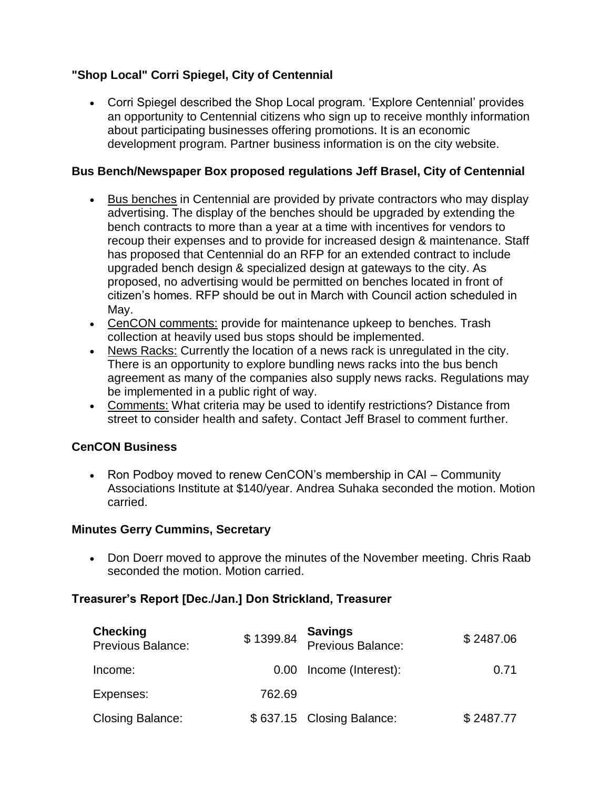## **"Shop Local" Corri Spiegel, City of Centennial**

 Corri Spiegel described the Shop Local program. 'Explore Centennial' provides an opportunity to Centennial citizens who sign up to receive monthly information about participating businesses offering promotions. It is an economic development program. Partner business information is on the city website.

#### **Bus Bench/Newspaper Box proposed regulations Jeff Brasel, City of Centennial**

- Bus benches in Centennial are provided by private contractors who may display advertising. The display of the benches should be upgraded by extending the bench contracts to more than a year at a time with incentives for vendors to recoup their expenses and to provide for increased design & maintenance. Staff has proposed that Centennial do an RFP for an extended contract to include upgraded bench design & specialized design at gateways to the city. As proposed, no advertising would be permitted on benches located in front of citizen's homes. RFP should be out in March with Council action scheduled in May.
- CenCON comments: provide for maintenance upkeep to benches. Trash collection at heavily used bus stops should be implemented.
- News Racks: Currently the location of a news rack is unregulated in the city. There is an opportunity to explore bundling news racks into the bus bench agreement as many of the companies also supply news racks. Regulations may be implemented in a public right of way.
- Comments: What criteria may be used to identify restrictions? Distance from street to consider health and safety. Contact Jeff Brasel to comment further.

## **CenCON Business**

• Ron Podboy moved to renew CenCON's membership in CAI – Community Associations Institute at \$140/year. Andrea Suhaka seconded the motion. Motion carried.

#### **Minutes Gerry Cummins, Secretary**

• Don Doerr moved to approve the minutes of the November meeting. Chris Raab seconded the motion. Motion carried.

## **Treasurer's Report [Dec./Jan.] Don Strickland, Treasurer**

| <b>Checking</b><br><b>Previous Balance:</b> | \$1399.84 | <b>Savings<br/>Previous Balance:</b> | \$2487.06 |
|---------------------------------------------|-----------|--------------------------------------|-----------|
| Income:                                     |           | 0.00 Income (Interest):              | 0.71      |
| Expenses:                                   | 762.69    |                                      |           |
| <b>Closing Balance:</b>                     |           | \$637.15 Closing Balance:            | \$2487.77 |